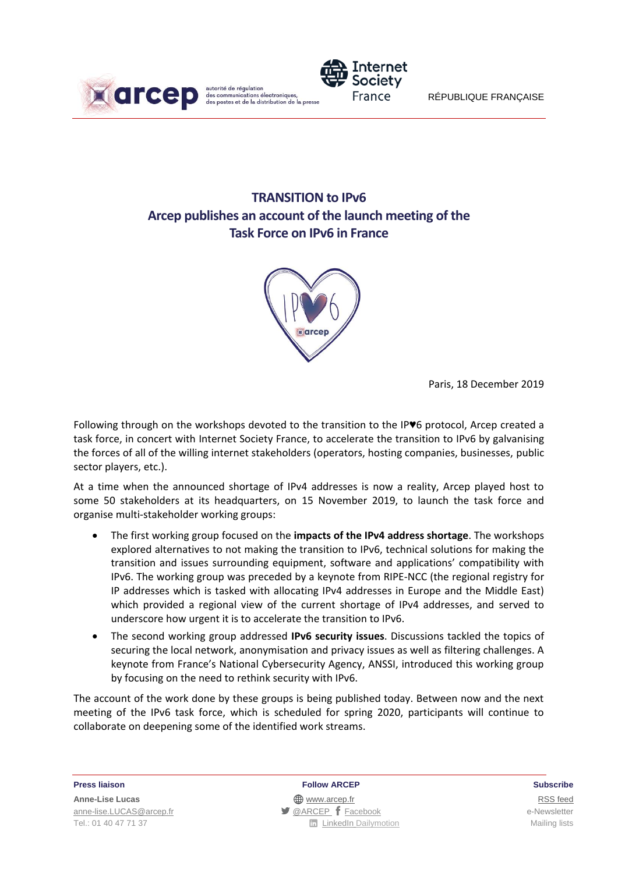



# **TRANSITION to IPv6 Arcep publishes an account of the launch meeting of the Task Force on IPv6 in France**



Paris, 18 December 2019

Following through on the workshops devoted to the transition to the IP♥6 protocol, Arcep created a task force, in concert with Internet Society France, to accelerate the transition to IPv6 by galvanising the forces of all of the willing internet stakeholders (operators, hosting companies, businesses, public sector players, etc.).

At a time when the announced shortage of IPv4 addresses is now a reality, Arcep played host to some 50 stakeholders at its headquarters, on 15 November 2019, to launch the task force and organise multi-stakeholder working groups:

- The first working group focused on the **impacts of the IPv4 address shortage**. The workshops explored alternatives to not making the transition to IPv6, technical solutions for making the transition and issues surrounding equipment, software and applications' compatibility with IPv6. The working group was preceded by a keynote from RIPE-NCC (the regional registry for IP addresses which is tasked with allocating IPv4 addresses in Europe and the Middle East) which provided a regional view of the current shortage of IPv4 addresses, and served to underscore how urgent it is to accelerate the transition to IPv6.
- The second working group addressed **IPv6 security issues**. Discussions tackled the topics of securing the local network, anonymisation and privacy issues as well as filtering challenges. A keynote from France's National Cybersecurity Agency, ANSSI, introduced this working group by focusing on the need to rethink security with IPv6.

The account of the work done by these groups is being published today. Between now and the next meeting of the IPv6 task force, which is scheduled for spring 2020, participants will continue to collaborate on deepening some of the identified work streams.

**Press liaison Follow ARCEP Subscribe**

**Anne-Lise Lucas** [RSS](/feed/::www.arcep.fr:?eID=tx_rssforge&feedid=2&h=14df1) feed [anne-lise.LUCAS@arcep.fr](mailto:anne-lise.LUCAS@arcep.fr) **[@ARCEP](http://www.twitter.com/ARCEP) F** [Facebook](https://www.facebook.com/arcep.fr) e-Newsletter Tel.: 01 40 47 71 37 Mailing lists **Tel.: 01 40 47 71 37** Mailing lists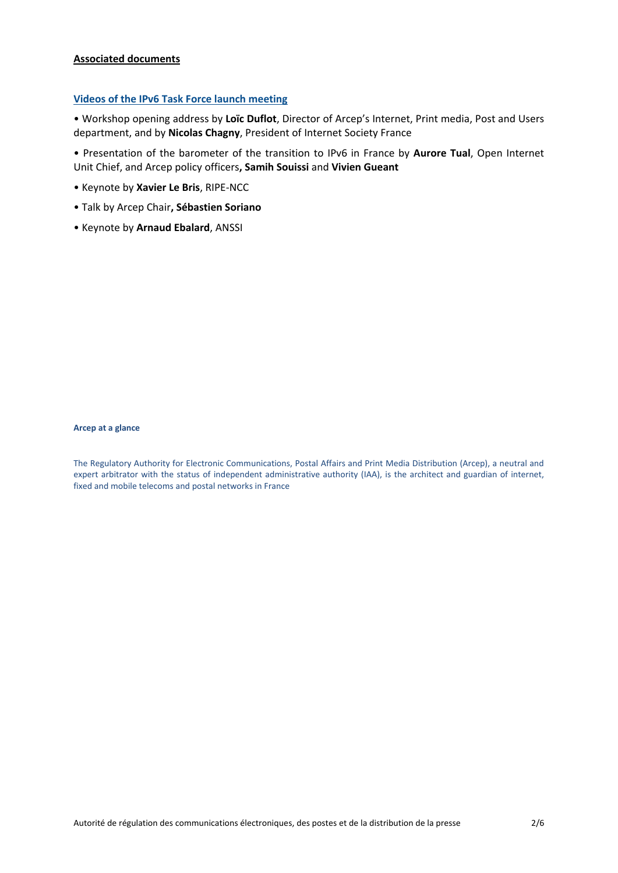#### **Associated documents**

#### **[Videos of the IPv6 Task Force](https://www.dailymotion.com/playlist/x6k2gu) launch meeting**

• Workshop opening address by **Loïc Duflot**, Director of Arcep's Internet, Print media, Post and Users department, and by **Nicolas Chagny**, President of Internet Society France

• Presentation of the barometer of the transition to IPv6 in France by **Aurore Tual**, Open Internet Unit Chief, and Arcep policy officers**, Samih Souissi** and **Vivien Gueant**

- Keynote by **Xavier Le Bris**, RIPE-NCC
- Talk by Arcep Chair**, Sébastien Soriano**
- Keynote by **Arnaud Ebalard**, ANSSI

#### **Arcep at a glance**

The Regulatory Authority for Electronic Communications, Postal Affairs and Print Media Distribution (Arcep), a neutral and expert arbitrator with the status of independent administrative authority (IAA), is the architect and guardian of internet, fixed and mobile telecoms and postal networks in France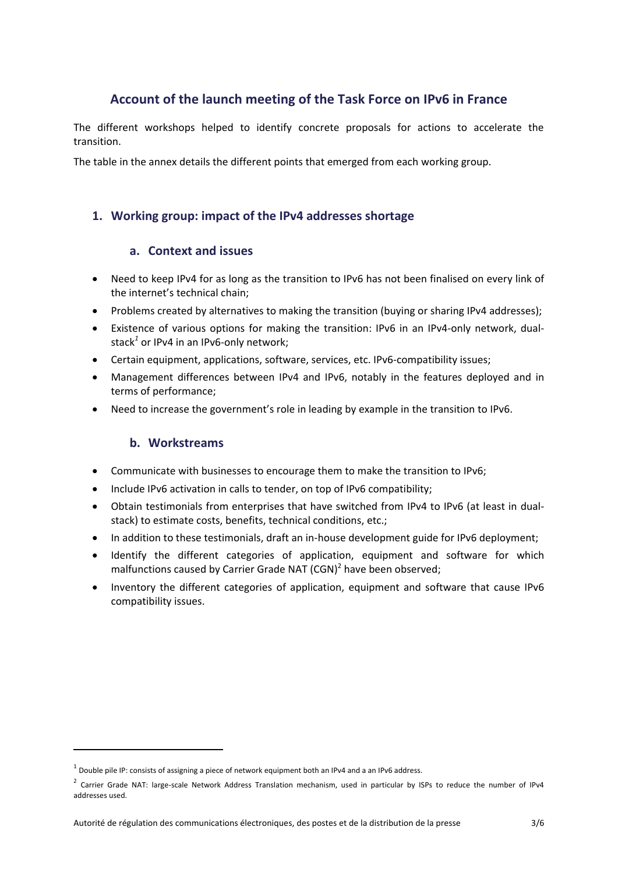## **Account of the launch meeting of the Task Force on IPv6 in France**

The different workshops helped to identify concrete proposals for actions to accelerate the transition.

The table in the annex details the different points that emerged from each working group.

### **1. Working group: impact of the IPv4 addresses shortage**

#### **a. Context and issues**

- Need to keep IPv4 for as long as the transition to IPv6 has not been finalised on every link of the internet's technical chain;
- Problems created by alternatives to making the transition (buying or sharing IPv4 addresses);
- Existence of various options for making the transition: IPv6 in an IPv4-only network, dualstack*<sup>1</sup>* or IPv4 in an IPv6-only network;
- Certain equipment, applications, software, services, etc. IPv6-compatibility issues;
- Management differences between IPv4 and IPv6, notably in the features deployed and in terms of performance;
- Need to increase the government's role in leading by example in the transition to IPv6.

#### **b. Workstreams**

1

- Communicate with businesses to encourage them to make the transition to IPv6;
- Include IPv6 activation in calls to tender, on top of IPv6 compatibility;
- Obtain testimonials from enterprises that have switched from IPv4 to IPv6 (at least in dualstack) to estimate costs, benefits, technical conditions, etc.;
- In addition to these testimonials, draft an in-house development guide for IPv6 deployment;
- Identify the different categories of application, equipment and software for which malfunctions caused by Carrier Grade NAT (CGN)<sup>2</sup> have been observed;
- Inventory the different categories of application, equipment and software that cause IPv6 compatibility issues.

 $^1$  Double pile IP: consists of assigning a piece of network equipment both an IPv4 and a an IPv6 address.

<sup>&</sup>lt;sup>2</sup> Carrier Grade NAT: large-scale Network Address Translation mechanism, used in particular by ISPs to reduce the number of IPv4 addresses used.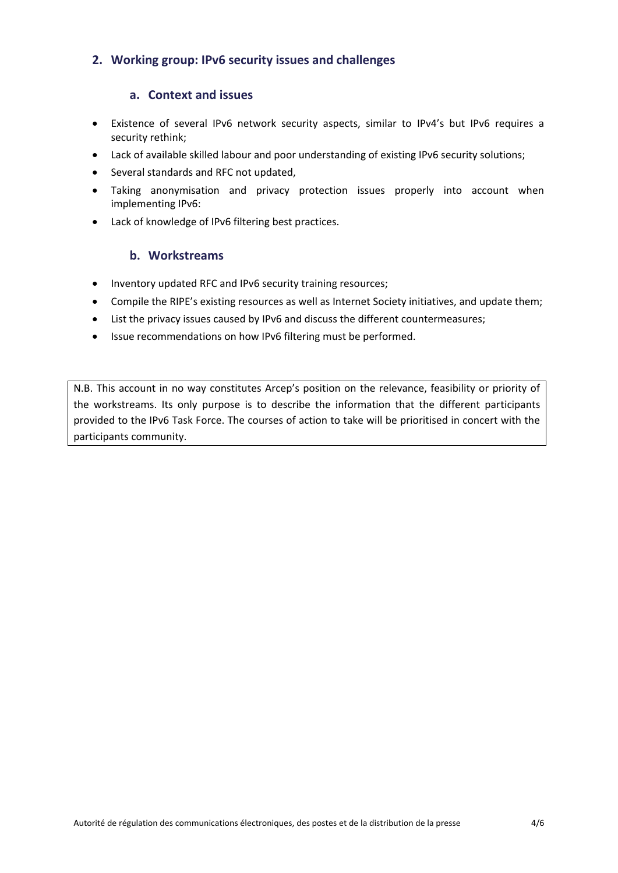## **2. Working group: IPv6 security issues and challenges**

#### **a. Context and issues**

- Existence of several IPv6 network security aspects, similar to IPv4's but IPv6 requires a security rethink;
- Lack of available skilled labour and poor understanding of existing IPv6 security solutions;
- Several standards and RFC not updated,
- Taking anonymisation and privacy protection issues properly into account when implementing IPv6:
- Lack of knowledge of IPv6 filtering best practices.

#### **b. Workstreams**

- Inventory updated RFC and IPv6 security training resources;
- Compile the RIPE's existing resources as well as Internet Society initiatives, and update them;
- List the privacy issues caused by IPv6 and discuss the different countermeasures;
- Issue recommendations on how IPv6 filtering must be performed.

N.B. This account in no way constitutes Arcep's position on the relevance, feasibility or priority of the workstreams. Its only purpose is to describe the information that the different participants provided to the IPv6 Task Force. The courses of action to take will be prioritised in concert with the participants community.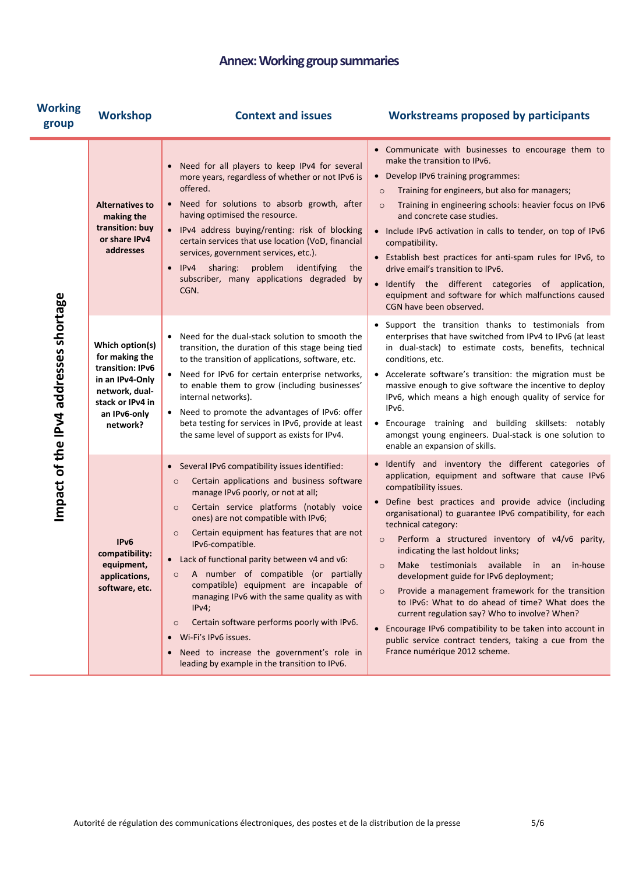# **Annex:Working group summaries**

| <b>Working</b><br>group               | <b>Workshop</b>                                                                                                                            | <b>Context and issues</b>                                                                                                                                                                                                                                                                                                                                                                                                                                                                                                                                                                                                                                                                                           | <b>Workstreams proposed by participants</b>                                                                                                                                                                                                                                                                                                                                                                                                                                                                                                                                                                                                                                                                                                                                                                 |
|---------------------------------------|--------------------------------------------------------------------------------------------------------------------------------------------|---------------------------------------------------------------------------------------------------------------------------------------------------------------------------------------------------------------------------------------------------------------------------------------------------------------------------------------------------------------------------------------------------------------------------------------------------------------------------------------------------------------------------------------------------------------------------------------------------------------------------------------------------------------------------------------------------------------------|-------------------------------------------------------------------------------------------------------------------------------------------------------------------------------------------------------------------------------------------------------------------------------------------------------------------------------------------------------------------------------------------------------------------------------------------------------------------------------------------------------------------------------------------------------------------------------------------------------------------------------------------------------------------------------------------------------------------------------------------------------------------------------------------------------------|
| Impact of the IPv4 addresses shortage | <b>Alternatives to</b><br>making the<br>transition: buy<br>or share IPv4<br>addresses                                                      | • Need for all players to keep IPv4 for several<br>more years, regardless of whether or not IPv6 is<br>offered.<br>• Need for solutions to absorb growth, after<br>having optimised the resource.<br>• IPv4 address buying/renting: risk of blocking<br>certain services that use location (VoD, financial<br>services, government services, etc.).<br>sharing:<br>problem<br>identifying<br>IPv4<br>the<br>$\bullet$<br>subscriber, many applications degraded by<br>CGN.                                                                                                                                                                                                                                          | • Communicate with businesses to encourage them to<br>make the transition to IPv6.<br>• Develop IPv6 training programmes:<br>Training for engineers, but also for managers;<br>$\circ$<br>Training in engineering schools: heavier focus on IPv6<br>$\circ$<br>and concrete case studies.<br>• Include IPv6 activation in calls to tender, on top of IPv6<br>compatibility.<br>• Establish best practices for anti-spam rules for IPv6, to<br>drive email's transition to IPv6.<br>• Identify the different categories of application,<br>equipment and software for which malfunctions caused<br>CGN have been observed.                                                                                                                                                                                   |
|                                       | Which option(s)<br>for making the<br>transition: IPv6<br>in an IPv4-Only<br>network, dual-<br>stack or IPv4 in<br>an IPv6-only<br>network? | Need for the dual-stack solution to smooth the<br>transition, the duration of this stage being tied<br>to the transition of applications, software, etc.<br>• Need for IPv6 for certain enterprise networks,<br>to enable them to grow (including businesses'<br>internal networks).<br>• Need to promote the advantages of IPv6: offer<br>beta testing for services in IPv6, provide at least<br>the same level of support as exists for IPv4.                                                                                                                                                                                                                                                                     | • Support the transition thanks to testimonials from<br>enterprises that have switched from IPv4 to IPv6 (at least<br>in dual-stack) to estimate costs, benefits, technical<br>conditions, etc.<br>• Accelerate software's transition: the migration must be<br>massive enough to give software the incentive to deploy<br>IPv6, which means a high enough quality of service for<br>IPv6.<br>• Encourage training and building skillsets: notably<br>amongst young engineers. Dual-stack is one solution to<br>enable an expansion of skills.                                                                                                                                                                                                                                                              |
|                                       | IPv6<br>compatibility:<br>equipment,<br>applications,<br>software, etc.                                                                    | • Several IPv6 compatibility issues identified:<br>Certain applications and business software<br>$\circ$<br>manage IPv6 poorly, or not at all;<br>Certain service platforms (notably voice<br>$\circ$<br>ones) are not compatible with IPv6;<br>Certain equipment has features that are not<br>$\circ$<br>IPv6-compatible.<br>• Lack of functional parity between v4 and v6:<br>A number of compatible (or partially<br>$\circ$<br>compatible) equipment are incapable of<br>managing IPv6 with the same quality as with<br>IPv4;<br>Certain software performs poorly with IPv6.<br>$\circ$<br>· Wi-Fi's IPv6 issues.<br>Need to increase the government's role in<br>leading by example in the transition to IPv6. | · Identify and inventory the different categories of<br>application, equipment and software that cause IPv6<br>compatibility issues.<br>· Define best practices and provide advice (including<br>organisational) to guarantee IPv6 compatibility, for each<br>technical category:<br>Perform a structured inventory of v4/v6 parity,<br>$\circ$<br>indicating the last holdout links;<br>Make testimonials available in an in-house<br>development guide for IPv6 deployment;<br>Provide a management framework for the transition<br>$\circ$<br>to IPv6: What to do ahead of time? What does the<br>current regulation say? Who to involve? When?<br>• Encourage IPv6 compatibility to be taken into account in<br>public service contract tenders, taking a cue from the<br>France numérique 2012 scheme. |